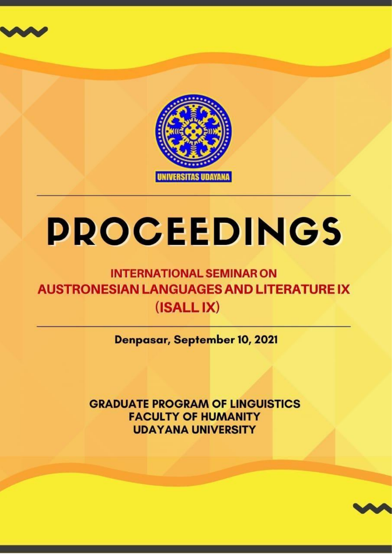



# **PROCEEDINGS**

## **INTERNATIONAL SEMINAR ON AUSTRONESIAN LANGUAGES AND LITERATURE IX**  $(ISALLIX)$

Denpasar, September 10, 2021

**GRADUATE PROGRAM OF LINGUISTICS FACULTY OF HUMANITY UDAYANA UNIVERSITY** 

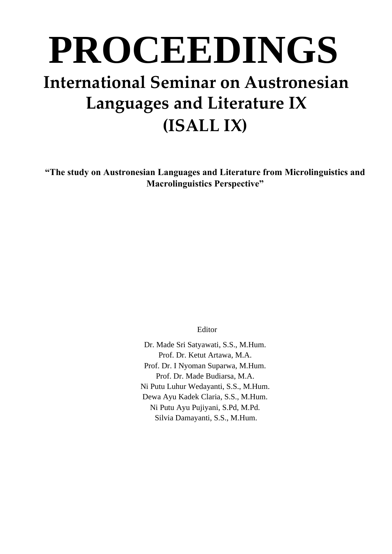# **PROCEEDINGS International Seminar on Austronesian Languages and Literature IX (ISALL IX)**

**"The study on Austronesian Languages and Literature from Microlinguistics and Macrolinguistics Perspective"**

Editor

Dr. Made Sri Satyawati, S.S., M.Hum. Prof. Dr. Ketut Artawa, M.A. Prof. Dr. I Nyoman Suparwa, M.Hum. Prof. Dr. Made Budiarsa, M.A. Ni Putu Luhur Wedayanti, S.S., M.Hum. Dewa Ayu Kadek Claria, S.S., M.Hum. Ni Putu Ayu Pujiyani, S.Pd, M.Pd. Silvia Damayanti, S.S., M.Hum.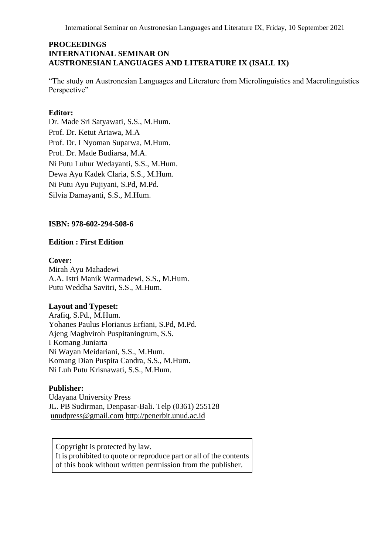International Seminar on Austronesian Languages and Literature IX, Friday, 10 September 2021

#### **PROCEEDINGS INTERNATIONAL SEMINAR ON AUSTRONESIAN LANGUAGES AND LITERATURE IX (ISALL IX)**

"The study on Austronesian Languages and Literature from Microlinguistics and Macrolinguistics Perspective"

#### **Editor:**

Dr. Made Sri Satyawati, S.S., M.Hum. Prof. Dr. Ketut Artawa, M.A Prof. Dr. I Nyoman Suparwa, M.Hum. Prof. Dr. Made Budiarsa, M.A. Ni Putu Luhur Wedayanti, S.S., M.Hum. Dewa Ayu Kadek Claria, S.S., M.Hum. Ni Putu Ayu Pujiyani, S.Pd, M.Pd. Silvia Damayanti, S.S., M.Hum.

#### **ISBN: 978-602-294-508-6**

#### **Edition : First Edition**

#### **Cover:**

Mirah Ayu Mahadewi A.A. Istri Manik Warmadewi, S.S., M.Hum. Putu Weddha Savitri, S.S., M.Hum.

#### **Layout and Typeset:**

Arafiq, S.Pd., M.Hum. Yohanes Paulus Florianus Erfiani, S.Pd, M.Pd. Ajeng Maghviroh Puspitaningrum, S.S. I Komang Juniarta Ni Wayan Meidariani, S.S., M.Hum. Komang Dian Puspita Candra, S.S., M.Hum. Ni Luh Putu Krisnawati, S.S., M.Hum.

#### **Publisher:**

Udayana University Press JL. PB Sudirman, Denpasar-Bali. Telp (0361) 255128 [unudpress@gmail.com](mailto:unudpress@gmail.com) [http://penerbit.unud.ac.id](http://penerbit.unud.ac.id/)

Copyright is protected by law. It is prohibited to quote or reproduce part or all of the contents of this book without written permission from the publisher.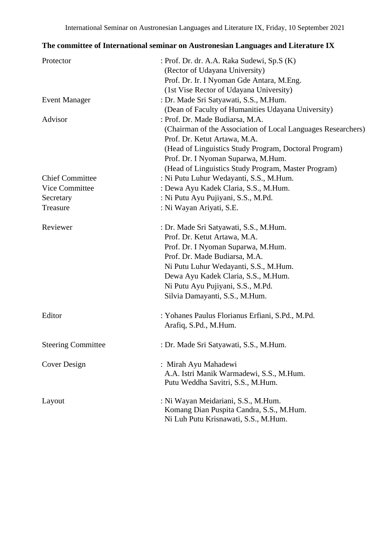#### **The committee of International seminar on Austronesian Languages and Literature IX**

| Protector                 | : Prof. Dr. dr. A.A. Raka Sudewi, Sp.S (K)                   |
|---------------------------|--------------------------------------------------------------|
|                           | (Rector of Udayana University)                               |
|                           | Prof. Dr. Ir. I Nyoman Gde Antara, M.Eng.                    |
|                           | (1st Vise Rector of Udayana University)                      |
| <b>Event Manager</b>      | : Dr. Made Sri Satyawati, S.S., M.Hum.                       |
|                           | (Dean of Faculty of Humanities Udayana University)           |
| Advisor                   | : Prof. Dr. Made Budiarsa, M.A.                              |
|                           | (Chairman of the Association of Local Languages Researchers) |
|                           | Prof. Dr. Ketut Artawa, M.A.                                 |
|                           | (Head of Linguistics Study Program, Doctoral Program)        |
|                           | Prof. Dr. I Nyoman Suparwa, M.Hum.                           |
|                           | (Head of Linguistics Study Program, Master Program)          |
| <b>Chief Committee</b>    | : Ni Putu Luhur Wedayanti, S.S., M.Hum.                      |
| Vice Committee            | : Dewa Ayu Kadek Claria, S.S., M.Hum.                        |
| Secretary                 | : Ni Putu Ayu Pujiyani, S.S., M.Pd.                          |
| Treasure                  | : Ni Wayan Ariyati, S.E.                                     |
| Reviewer                  | : Dr. Made Sri Satyawati, S.S., M.Hum.                       |
|                           | Prof. Dr. Ketut Artawa, M.A.                                 |
|                           | Prof. Dr. I Nyoman Suparwa, M.Hum.                           |
|                           | Prof. Dr. Made Budiarsa, M.A.                                |
|                           | Ni Putu Luhur Wedayanti, S.S., M.Hum.                        |
|                           | Dewa Ayu Kadek Claria, S.S., M.Hum.                          |
|                           | Ni Putu Ayu Pujiyani, S.S., M.Pd.                            |
|                           | Silvia Damayanti, S.S., M.Hum.                               |
| Editor                    | : Yohanes Paulus Florianus Erfiani, S.Pd., M.Pd.             |
|                           | Arafiq, S.Pd., M.Hum.                                        |
| <b>Steering Committee</b> | : Dr. Made Sri Satyawati, S.S., M.Hum.                       |
| Cover Design              | : Mirah Ayu Mahadewi                                         |
|                           | A.A. Istri Manik Warmadewi, S.S., M.Hum.                     |
|                           | Putu Weddha Savitri, S.S., M.Hum.                            |
| Layout                    | : Ni Wayan Meidariani, S.S., M.Hum.                          |
|                           | Komang Dian Puspita Candra, S.S., M.Hum.                     |
|                           | Ni Luh Putu Krisnawati, S.S., M.Hum.                         |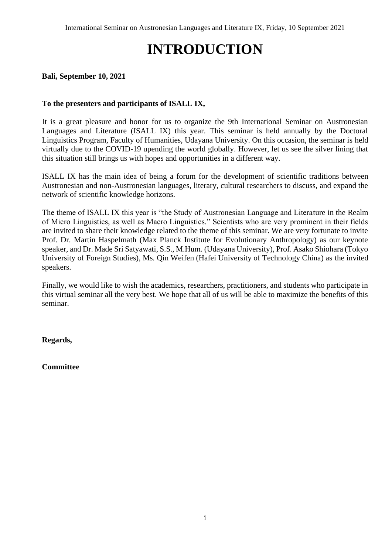# **INTRODUCTION**

#### <span id="page-4-0"></span>**Bali, September 10, 2021**

#### **To the presenters and participants of ISALL IX,**

It is a great pleasure and honor for us to organize the 9th International Seminar on Austronesian Languages and Literature (ISALL IX) this year. This seminar is held annually by the Doctoral Linguistics Program, Faculty of Humanities, Udayana University. On this occasion, the seminar is held virtually due to the COVID-19 upending the world globally. However, let us see the silver lining that this situation still brings us with hopes and opportunities in a different way.

ISALL IX has the main idea of being a forum for the development of scientific traditions between Austronesian and non-Austronesian languages, literary, cultural researchers to discuss, and expand the network of scientific knowledge horizons.

The theme of ISALL IX this year is "the Study of Austronesian Language and Literature in the Realm of Micro Linguistics, as well as Macro Linguistics." Scientists who are very prominent in their fields are invited to share their knowledge related to the theme of this seminar. We are very fortunate to invite Prof. Dr. Martin Haspelmath (Max Planck Institute for Evolutionary Anthropology) as our keynote speaker, and Dr. Made Sri Satyawati, S.S., M.Hum. (Udayana University), Prof. Asako Shiohara (Tokyo University of Foreign Studies), Ms. Qin Weifen (Hafei University of Technology China) as the invited speakers.

Finally, we would like to wish the academics, researchers, practitioners, and students who participate in this virtual seminar all the very best. We hope that all of us will be able to maximize the benefits of this seminar.

**Regards,**

**Committee**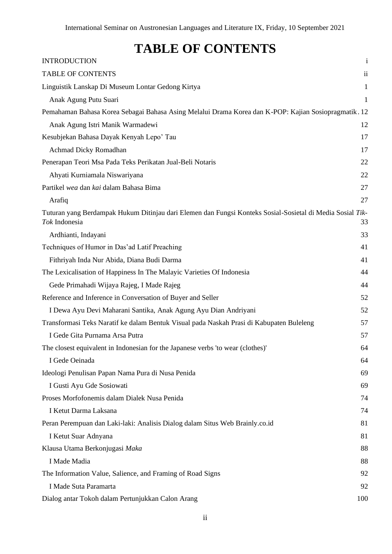### **TABLE OF CONTENTS**

<span id="page-5-0"></span>

| <b>INTRODUCTION</b>                                                                                                        | $\mathbf{i}$ |
|----------------------------------------------------------------------------------------------------------------------------|--------------|
| <b>TABLE OF CONTENTS</b>                                                                                                   | $\rm ii$     |
| Linguistik Lanskap Di Museum Lontar Gedong Kirtya                                                                          | $\mathbf{1}$ |
| Anak Agung Putu Suari                                                                                                      | $\mathbf{1}$ |
| Pemahaman Bahasa Korea Sebagai Bahasa Asing Melalui Drama Korea dan K-POP: Kajian Sosiopragmatik. 12                       |              |
| Anak Agung Istri Manik Warmadewi                                                                                           | 12           |
| Kesubjekan Bahasa Dayak Kenyah Lepo' Tau                                                                                   | 17           |
| Achmad Dicky Romadhan                                                                                                      | 17           |
| Penerapan Teori Msa Pada Teks Perikatan Jual-Beli Notaris                                                                  | 22           |
| Ahyati Kurniamala Niswariyana                                                                                              | 22           |
| Partikel wea dan kai dalam Bahasa Bima                                                                                     | 27           |
| Arafiq                                                                                                                     | 27           |
| Tuturan yang Berdampak Hukum Ditinjau dari Elemen dan Fungsi Konteks Sosial-Sosietal di Media Sosial Tik-<br>Tok Indonesia | 33           |
| Ardhianti, Indayani                                                                                                        | 33           |
| Techniques of Humor in Das'ad Latif Preaching                                                                              | 41           |
| Fithriyah Inda Nur Abida, Diana Budi Darma                                                                                 | 41           |
| The Lexicalisation of Happiness In The Malayic Varieties Of Indonesia                                                      | 44           |
| Gede Primahadi Wijaya Rajeg, I Made Rajeg                                                                                  | 44           |
| Reference and Inference in Conversation of Buyer and Seller                                                                | 52           |
| I Dewa Ayu Devi Maharani Santika, Anak Agung Ayu Dian Andriyani                                                            | 52           |
| Transformasi Teks Naratif ke dalam Bentuk Visual pada Naskah Prasi di Kabupaten Buleleng                                   | 57           |
| I Gede Gita Purnama Arsa Putra                                                                                             | 57           |
| The closest equivalent in Indonesian for the Japanese verbs 'to wear (clothes)'                                            | 64           |
| I Gede Oeinada                                                                                                             | 64           |
| Ideologi Penulisan Papan Nama Pura di Nusa Penida                                                                          | 69           |
| I Gusti Ayu Gde Sosiowati                                                                                                  | 69           |
| Proses Morfofonemis dalam Dialek Nusa Penida                                                                               | 74           |
| I Ketut Darma Laksana                                                                                                      | 74           |
| Peran Perempuan dan Laki-laki: Analisis Dialog dalam Situs Web Brainly.co.id                                               | 81           |
| I Ketut Suar Adnyana                                                                                                       | 81           |
| Klausa Utama Berkonjugasi Maka                                                                                             | 88           |
| I Made Madia                                                                                                               | 88           |
| The Information Value, Salience, and Framing of Road Signs                                                                 | 92           |
| I Made Suta Paramarta                                                                                                      | 92           |
| Dialog antar Tokoh dalam Pertunjukkan Calon Arang                                                                          | 100          |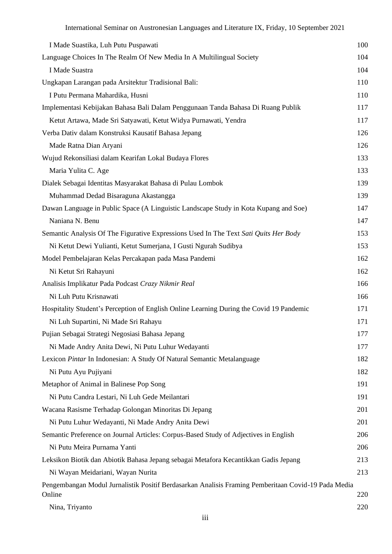| I Made Suastika, Luh Putu Puspawati                                                                           | 100 |
|---------------------------------------------------------------------------------------------------------------|-----|
| Language Choices In The Realm Of New Media In A Multilingual Society                                          | 104 |
| I Made Suastra                                                                                                | 104 |
| Ungkapan Larangan pada Arsitektur Tradisional Bali:                                                           | 110 |
| I Putu Permana Mahardika, Husni                                                                               | 110 |
| Implementasi Kebijakan Bahasa Bali Dalam Penggunaan Tanda Bahasa Di Ruang Publik                              | 117 |
| Ketut Artawa, Made Sri Satyawati, Ketut Widya Purnawati, Yendra                                               | 117 |
| Verba Dativ dalam Konstruksi Kausatif Bahasa Jepang                                                           | 126 |
| Made Ratna Dian Aryani                                                                                        | 126 |
| Wujud Rekonsiliasi dalam Kearifan Lokal Budaya Flores                                                         | 133 |
| Maria Yulita C. Age                                                                                           | 133 |
| Dialek Sebagai Identitas Masyarakat Bahasa di Pulau Lombok                                                    | 139 |
| Muhammad Dedad Bisaraguna Akastangga                                                                          | 139 |
| Dawan Language in Public Space (A Linguistic Landscape Study in Kota Kupang and Soe)                          | 147 |
| Naniana N. Benu                                                                                               | 147 |
| Semantic Analysis Of The Figurative Expressions Used In The Text Sati Quits Her Body                          | 153 |
| Ni Ketut Dewi Yulianti, Ketut Sumerjana, I Gusti Ngurah Sudibya                                               | 153 |
| Model Pembelajaran Kelas Percakapan pada Masa Pandemi                                                         | 162 |
| Ni Ketut Sri Rahayuni                                                                                         | 162 |
| Analisis Implikatur Pada Podcast Crazy Nikmir Real                                                            | 166 |
| Ni Luh Putu Krisnawati                                                                                        | 166 |
| Hospitality Student's Perception of English Online Learning During the Covid 19 Pandemic                      | 171 |
| Ni Luh Supartini, Ni Made Sri Rahayu                                                                          | 171 |
| Pujian Sebagai Strategi Negosiasi Bahasa Jepang                                                               | 177 |
| Ni Made Andry Anita Dewi, Ni Putu Luhur Wedayanti                                                             | 177 |
| Lexicon Pintar In Indonesian: A Study Of Natural Semantic Metalanguage                                        | 182 |
| Ni Putu Ayu Pujiyani                                                                                          | 182 |
| Metaphor of Animal in Balinese Pop Song                                                                       | 191 |
| Ni Putu Candra Lestari, Ni Luh Gede Meilantari                                                                | 191 |
| Wacana Rasisme Terhadap Golongan Minoritas Di Jepang                                                          | 201 |
| Ni Putu Luhur Wedayanti, Ni Made Andry Anita Dewi                                                             | 201 |
| Semantic Preference on Journal Articles: Corpus-Based Study of Adjectives in English                          | 206 |
| Ni Putu Meira Purnama Yanti                                                                                   | 206 |
| Leksikon Biotik dan Abiotik Bahasa Jepang sebagai Metafora Kecantikkan Gadis Jepang                           | 213 |
| Ni Wayan Meidariani, Wayan Nurita                                                                             | 213 |
| Pengembangan Modul Jurnalistik Positif Berdasarkan Analisis Framing Pemberitaan Covid-19 Pada Media<br>Online | 220 |
| Nina, Triyanto                                                                                                | 220 |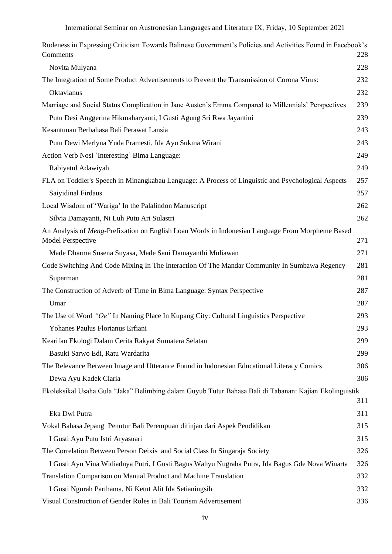| Rudeness in Expressing Criticism Towards Balinese Government's Policies and Activities Found in Facebook's<br>Comments | 228        |
|------------------------------------------------------------------------------------------------------------------------|------------|
| Novita Mulyana                                                                                                         | 228        |
| The Integration of Some Product Advertisements to Prevent the Transmission of Corona Virus:                            | 232        |
| Oktavianus                                                                                                             | 232        |
| Marriage and Social Status Complication in Jane Austen's Emma Compared to Millennials' Perspectives                    | 239        |
| Putu Desi Anggerina Hikmaharyanti, I Gusti Agung Sri Rwa Jayantini                                                     | 239        |
| Kesantunan Berbahasa Bali Perawat Lansia                                                                               | 243        |
| Putu Dewi Merlyna Yuda Pramesti, Ida Ayu Sukma Wirani                                                                  | 243        |
| Action Verb Nosi `Interesting` Bima Language:                                                                          | 249        |
| Rabiyatul Adawiyah                                                                                                     | 249        |
| FLA on Toddler's Speech in Minangkabau Language: A Process of Linguistic and Psychological Aspects                     | 257        |
| Saiyidinal Firdaus                                                                                                     | 257        |
| Local Wisdom of 'Wariga' In the Palalindon Manuscript                                                                  | 262        |
| Silvia Damayanti, Ni Luh Putu Ari Sulastri                                                                             | 262        |
| An Analysis of Meng-Prefixation on English Loan Words in Indonesian Language From Morpheme Based<br>Model Perspective  | 271        |
| Made Dharma Susena Suyasa, Made Sani Damayanthi Muliawan                                                               | 271        |
| Code Switching And Code Mixing In The Interaction Of The Mandar Community In Sumbawa Regency                           | 281        |
| Suparman                                                                                                               | 281        |
| The Construction of Adverb of Time in Bima Language: Syntax Perspective                                                | 287        |
| Umar                                                                                                                   | 287        |
| The Use of Word "Oe" In Naming Place In Kupang City: Cultural Linguistics Perspective                                  | 293        |
| Yohanes Paulus Florianus Erfiani                                                                                       | 293        |
| Kearifan Ekologi Dalam Cerita Rakyat Sumatera Selatan                                                                  | 299        |
| Basuki Sarwo Edi, Ratu Wardarita                                                                                       | 299        |
| The Relevance Between Image and Utterance Found in Indonesian Educational Literacy Comics                              | 306        |
| Dewa Ayu Kadek Claria                                                                                                  | 306        |
| Ekoleksikal Usaha Gula "Jaka" Belimbing dalam Guyub Tutur Bahasa Bali di Tabanan: Kajian Ekolinguistik                 |            |
|                                                                                                                        | 311        |
| Eka Dwi Putra                                                                                                          | 311        |
| Vokal Bahasa Jepang Penutur Bali Perempuan ditinjau dari Aspek Pendidikan                                              | 315        |
| I Gusti Ayu Putu Istri Aryasuari                                                                                       | 315        |
| The Correlation Between Person Deixis and Social Class In Singaraja Society                                            | 326        |
| I Gusti Ayu Vina Widiadnya Putri, I Gusti Bagus Wahyu Nugraha Putra, Ida Bagus Gde Nova Winarta                        | 326        |
| Translation Comparison on Manual Product and Machine Translation                                                       | 332        |
| I Gusti Ngurah Parthama, Ni Ketut Alit Ida Setianingsih                                                                | 332<br>336 |
| Visual Construction of Gender Roles in Bali Tourism Advertisement                                                      |            |